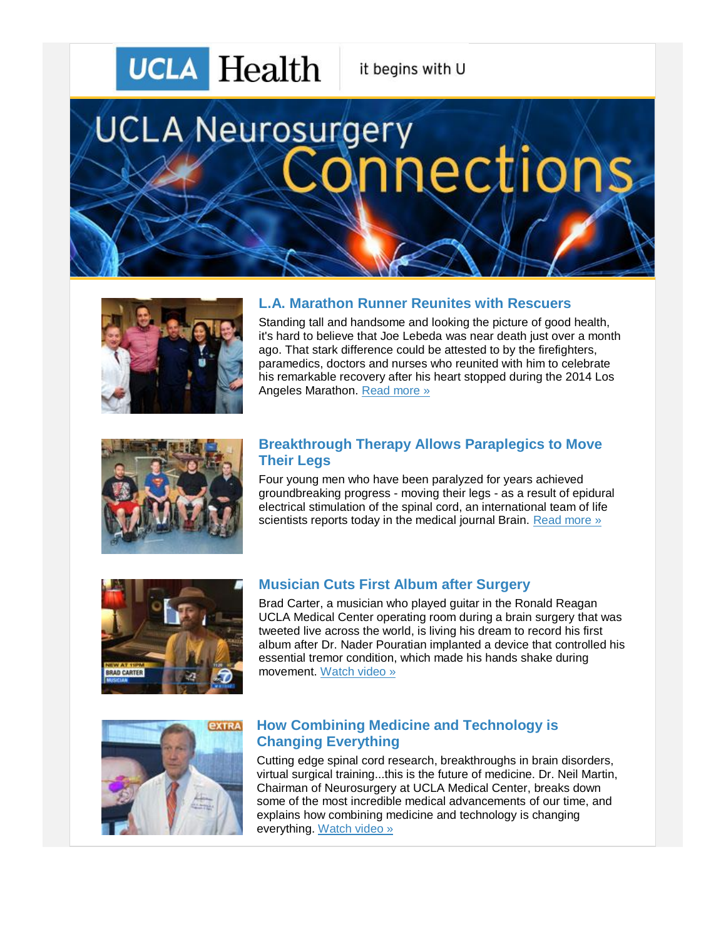# **UCLA** Health

it begins with U

# **UCLA Neurosurgery** nections



## **L.A. Marathon Runner Reunites with Rescuers**

Standing tall and handsome and looking the picture of good health, it's hard to believe that Joe Lebeda was near death just over a month ago. That stark difference could be attested to by the firefighters, paramedics, doctors and nurses who reunited with him to celebrate his remarkable recovery after his heart stopped during the 2014 Los Angeles Marathon. [Read more »](http://r20.rs6.net/tn.jsp?f=0010yFNG_9BkV1eQhrJkHrt9dH7WxH_kDk6pSVV1W_02NQdtH96XbxlDj0HYTMJ9aoMc8rwUYaLTuCO_pY-iPOIoWz0vcmL-CLDBRUBAMKBoQxnCLCKbgNGBuipXu1E3Eaackl7K1U2_B5X9H40-a99hi_vgkoK0GoaOKeX_8F71-RDE6vc4p21arfiZ4TclxuAar5eR7E705ndY0KV2Z6-ApHysbOKEMPn_7Y3SnpAOSUVvsaGup4ak7lZy8gbw2xGOuoxgT67ZeAcNvcFs_iR0DhQUgXT_OyP72rSQ8HQ9wMUEm-MP8_v-JAci9wfPKW5lkJKa9bMlxeLHns6KIClZEp6jJpIH8SG_jpgoe7lgVSBCr9hGPtEhBSCLnzb6k2atURxImr2TdjrzDkksG-04mD1iAKpBNIybEHTIFc1s4Q=&c=7j18YQGj7Ghadp77YWKV2L9WDmhshRx6aGQoPFhArt5xPlZO7HXkWg==&ch=0AypDCfo1APpVSJqkI934IBciez6Z0HqtLL1WIi3xjS7BdnVZRMe_A==) 



#### **Breakthrough Therapy Allows Paraplegics to Move Their Legs**

Four young men who have been paralyzed for years achieved groundbreaking progress - moving their legs - as a result of epidural electrical stimulation of the spinal cord, an international team of life scientists reports today in the medical journal Brain. [Read more »](http://r20.rs6.net/tn.jsp?f=0010yFNG_9BkV1eQhrJkHrt9dH7WxH_kDk6pSVV1W_02NQdtH96XbxlDj0HYTMJ9aoMFaS21K0AtfwJeMlZRxFMXIGYSLxvml1d4OL98DEgGL6vzi02MYnyO_fOx5xzZP-OwtLQodq19RSGLUVRgEwfZtR_bvMZ1uaFAisTTSBNwB923VFrwLtREhm2hICSonDCXXgUIRUDOWyZFwoDAyje5XMgofCuVrG9es0O1j_BlXhNJ-IRcI0b14MejcbPRVUsIWyl9hzqhT71FsdesMcOfw3qy319Uvt3Xe9208lvOYmJ5mRPuIA2G__wdG8NJfXNE6mCDHMm8mTKBGT99BcgmjEALMRWHccQHVqdMA0aZg6rm3ouisYTudTIznmz_CBcCnk68ayBzTxn6xwo2Ogx2OBjDx7lAOkiM3jZMocYWuy1XZqcGUqsL8O3imZGMBYk&c=7j18YQGj7Ghadp77YWKV2L9WDmhshRx6aGQoPFhArt5xPlZO7HXkWg==&ch=0AypDCfo1APpVSJqkI934IBciez6Z0HqtLL1WIi3xjS7BdnVZRMe_A==)



### **Musician Cuts First Album after Surgery**

Brad Carter, a musician who played guitar in the Ronald Reagan UCLA Medical Center operating room during a brain surgery that was tweeted live across the world, is living his dream to record his first album after Dr. Nader Pouratian implanted a device that controlled his essential tremor condition, which made his hands shake during movement. [Watch video »](http://r20.rs6.net/tn.jsp?f=0010yFNG_9BkV1eQhrJkHrt9dH7WxH_kDk6pSVV1W_02NQdtH96XbxlDj0HYTMJ9aoM1wCHDAsd55o3nVSP6ikJhwuqrsWEimwiwMsJNumlig5itWfU8FYlvjWfrseHHNkhIyoJDN0My3csDx6ArmcevjDN6YPRYSsHTzYROEfKmQMecw_DG_d8wpGZlmkYD559Eq2PuA7WcwVbzQuabzPzvjqhwihybe5YDpx6AKr_nQCgsGsOLUcQV8YVbfHb5cguns-PDtEX4UE00UqhnBbTc0u9QXHwSHxGALsJf0MT5_k2aTzddLowIMjdiBMpuVHC4ywvZEJ4BhIj6d_9h4eDA6i1VHiV49-aC_833srdDbUX1ik9nbLECIrFe7tTmCJ0&c=7j18YQGj7Ghadp77YWKV2L9WDmhshRx6aGQoPFhArt5xPlZO7HXkWg==&ch=0AypDCfo1APpVSJqkI934IBciez6Z0HqtLL1WIi3xjS7BdnVZRMe_A==)



#### **How Combining Medicine and Technology is Changing Everything**

Cutting edge spinal cord research, breakthroughs in brain disorders, virtual surgical training...this is the future of medicine. Dr. Neil Martin, Chairman of Neurosurgery at UCLA Medical Center, breaks down some of the most incredible medical advancements of our time, and explains how combining medicine and technology is changing everything. [Watch video »](http://r20.rs6.net/tn.jsp?f=0010yFNG_9BkV1eQhrJkHrt9dH7WxH_kDk6pSVV1W_02NQdtH96XbxlDj0HYTMJ9aoMVMA3HNhWPhqUgGaZZMbk9g-AO8yMonHNplhW-CjI9hmtf3Zj54-OxOZh7xh17mlOcOFKHB_SDQ72fcEfNCLVq82Yq4YlsCJ1euc4W84xGnjf3hjWSRxSOtYiTJYX1TwA9wQhHMRWhDH-jb4SjAhRwz3_J9NW5YxdL6UgYtx_T5LdRxzpeZWqypOmcPBQlgUAe0djXa-BfrjsfUz3nQRhpEdAq_a9nv4L0ekrkFCPbeLEVBGqLe973M_p8g9YOENe1DPf8y-VrjW94QJKjdDDutoUpHQ71ZT1bdS3VnlcWpX8O11rsDxf5tMHde2SK9RkCAnxo-qV-UED3J1k-l5fDzIl5JPf2IY-yrIcJLuHQSYqLDDjxDffW82u5nc7Babtz2QsqBWLzCI_F8gCiqPrVsg3rUI6N59qJQdqOxCcKts=&c=7j18YQGj7Ghadp77YWKV2L9WDmhshRx6aGQoPFhArt5xPlZO7HXkWg==&ch=0AypDCfo1APpVSJqkI934IBciez6Z0HqtLL1WIi3xjS7BdnVZRMe_A==)